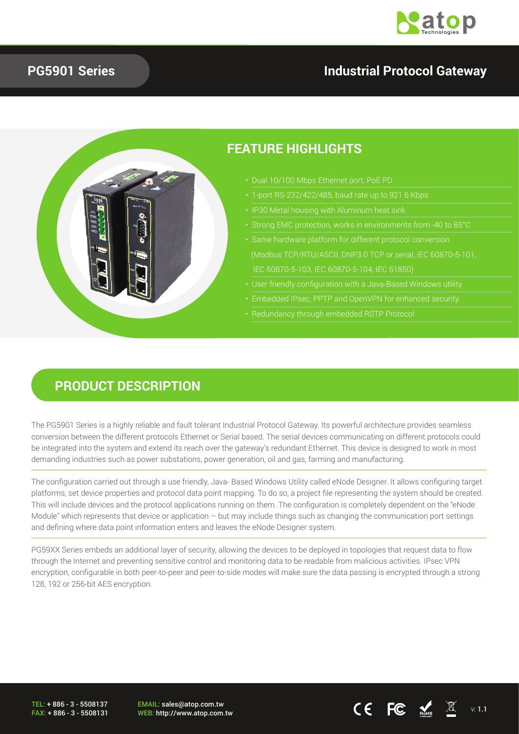

#### **PG5901 Series**

#### **Industrial Protocol Gateway**



#### **PRODUCT DESCRIPTION**

The PG5901 Series is a highly reliable and fault tolerant Industrial Protocol Gateway. Its powerful architecture provides seamless conversion between the different protocols Ethernet or Serial based. The serial devices communicating on different protocols could be integrated into the system and extend its reach over the gateway's redundant Ethernet. This device is designed to work in most demanding industries such as power substations, power generation, oil and gas, farming and manufacturing.

The configuration carried out through a use friendly, Java- Based Windows Utility called eNode Designer. It allows configuring target platforms, set device properties and protocol data point mapping. To do so, a project file representing the system should be created. This will include devices and the protocol applications running on them. The configuration is completely dependent on the "eNode Module" which represents that device or application – but may include things such as changing the communication port settings and defining where data point information enters and leaves the eNode Designer system.

PG59XX Series embeds an additional layer of security, allowing the devices to be deployed in topologies that request data to flow through the Internet and preventing sensitive control and monitoring data to be readable from malicious activities. IPsec VPN encryption, configurable in both peer-to-peer and peer-to-side modes will make sure the data passing is encrypted through a strong 128, 192 or 256-bit AES encryption.

TEL: + 886 - 3 - 5508137 FAX: + 886 - 3 - 5508131 EMAIL: sales@atop.com.tw

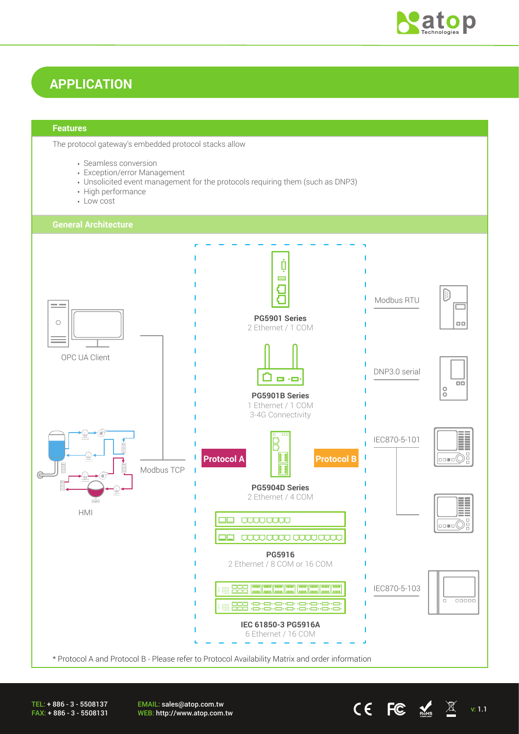

## **APPLICATION**

#### **Features**

The protocol gateway's embedded protocol stacks allow

- Seamless conversion
- Exception/error Management
- Unsolicited event management for the protocols requiring them (such as DNP3)
- High performance
- Low cost



TEL: + 886 - 3 - 5508137 FAX: + 886 - 3 - 5508131 EMAIL: sales@atop.com.tw EWALE. Sales water community<br>WEB: http://www.atop.com.tw v: 1.1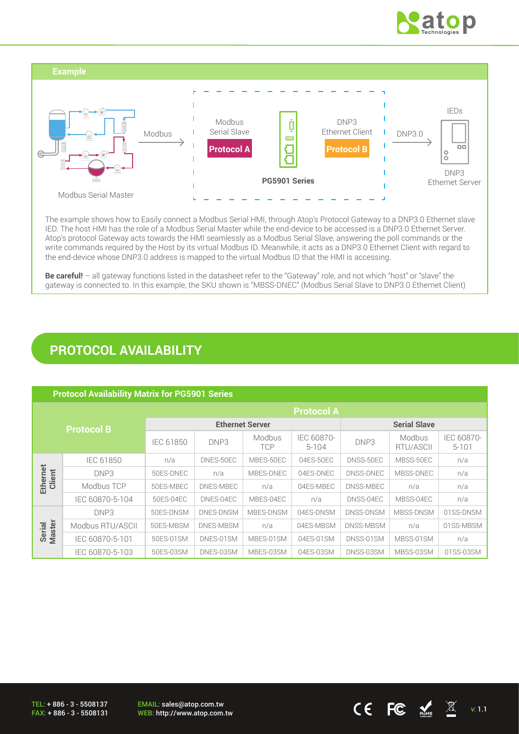



The example shows how to Easily connect a Modbus Serial HMI, through Atop's Protocol Gateway to a DNP3.0 Ethernet slave IED. The host HMI has the role of a Modbus Serial Master while the end-device to be accessed is a DNP3.0 Ethernet Server. Atop's protocol Gateway acts towards the HMI seamlessly as a Modbus Serial Slave, answering the poll commands or the write commands required by the Host by its virtual Modbus ID. Meanwhile, it acts as a DNP3.0 Ethernet Client with regard to the end-device whose DNP3.0 address is mapped to the virtual Modbus ID that the HMI is accessing.

**Be careful!** – all gateway functions listed in the datasheet refer to the "Gateway" role, and not which "host" or "slave" the gateway is connected to. In this example, the SKU shown is "MBSS-DNEC" (Modbus Serial Slave to DNP3.0 Ethernet Client)

### **PROTOCOL AVAILABILITY**

| <b>Protocol Availability Matrix for PG5901 Series</b> |                  |                        |           |                      |                         |                  |                     |                         |
|-------------------------------------------------------|------------------|------------------------|-----------|----------------------|-------------------------|------------------|---------------------|-------------------------|
| <b>Protocol B</b>                                     |                  | <b>Protocol A</b>      |           |                      |                         |                  |                     |                         |
|                                                       |                  | <b>Ethernet Server</b> |           |                      | <b>Serial Slave</b>     |                  |                     |                         |
|                                                       |                  | IEC 61850              | DNP3      | Modbus<br><b>TCP</b> | IEC 60870-<br>$5 - 104$ | DNP3             | Modbus<br>RTU/ASCII | IEC 60870-<br>$5 - 101$ |
| Ethernet<br>Client                                    | IEC 61850        | n/a                    | DNES-50EC | MBES-50EC            | 04ES-50EC               | DNSS-50EC        | MBSS-50EC           | n/a                     |
|                                                       | DNP3             | 50ES-DNEC              | n/a       | MBES-DNEC            | 04ES-DNEC               | DNSS-DNEC        | MBSS-DNEC           | n/a                     |
|                                                       | Modbus TCP       | 50ES-MBEC              | DNES-MBEC | n/a                  | 04ES-MBEC               | DNSS-MBEC        | n/a                 | n/a                     |
|                                                       | IEC 60870-5-104  | 50ES-04EC              | DNES-04EC | MBES-04EC            | n/a                     | DNSS-04EC        | MBSS-04EC           | n/a                     |
| <b>Master</b><br>Serial                               | DNP3             | 50ES-DNSM              | DNES-DNSM | MBES-DNSM            | 04ES-DNSM               | <b>DNSS-DNSM</b> | MBSS-DNSM           | 01SS-DNSM               |
|                                                       | Modbus RTU/ASCII | 50ES-MBSM              | DNES-MBSM | n/a                  | 04ES-MBSM               | DNSS-MBSM        | n/a                 | 01SS-MBSM               |
|                                                       | IEC 60870-5-101  | 50ES-01SM              | DNES-01SM | MBES-01SM            | 04ES-01SM               | DNSS-01SM        | MBSS-01SM           | n/a                     |
|                                                       | IEC 60870-5-103  | 50ES-03SM              | DNES-03SM | MBES-03SM            | 04ES-03SM               | DNSS-03SM        | MBSS-03SM           | 01SS-03SM               |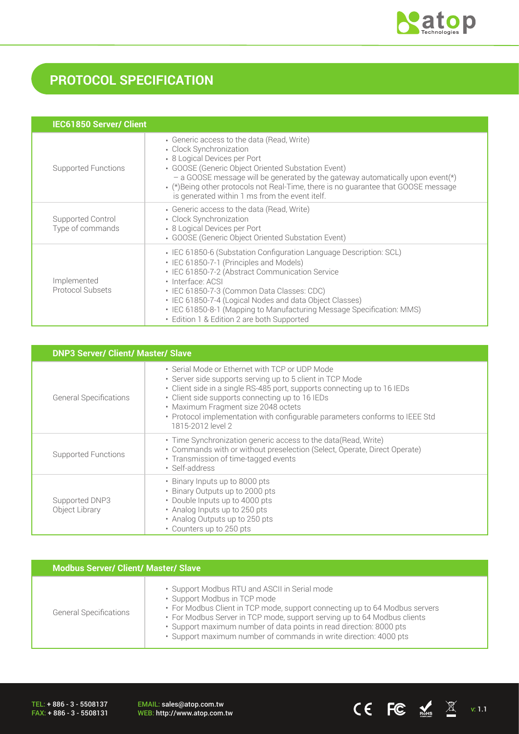

# **PROTOCOL SPECIFICATION**

| <b>IEC61850 Server/ Client</b>        |                                                                                                                                                                                                                                                                                                                                                                                                                       |
|---------------------------------------|-----------------------------------------------------------------------------------------------------------------------------------------------------------------------------------------------------------------------------------------------------------------------------------------------------------------------------------------------------------------------------------------------------------------------|
| <b>Supported Functions</b>            | • Generic access to the data (Read, Write)<br>• Clock Synchronization<br>• 8 Logical Devices per Port<br>• GOOSE (Generic Object Oriented Substation Event)<br>- a GOOSE message will be generated by the gateway automatically upon event(*)<br>. (*)Being other protocols not Real-Time, there is no quarantee that GOOSE message<br>is generated within 1 ms from the event itelf.                                 |
| Supported Control<br>Type of commands | • Generic access to the data (Read, Write)<br>• Clock Synchronization<br>• 8 Logical Devices per Port<br>• GOOSE (Generic Object Oriented Substation Event)                                                                                                                                                                                                                                                           |
| Implemented<br>Protocol Subsets       | • IEC 61850-6 (Substation Configuration Language Description: SCL)<br>• IEC 61850-7-1 (Principles and Models)<br>• IEC 61850-7-2 (Abstract Communication Service<br>· Interface: ACSI<br>· IEC 61850-7-3 (Common Data Classes: CDC)<br>• IEC 61850-7-4 (Logical Nodes and data Object Classes)<br>• IEC 61850-8-1 (Mapping to Manufacturing Message Specification: MMS)<br>• Edition 1 & Edition 2 are both Supported |

| <b>DNP3 Server/ Client/ Master/ Slave</b> |                                                                                                                                                                                                                                                                                                                                                                                       |  |  |  |
|-------------------------------------------|---------------------------------------------------------------------------------------------------------------------------------------------------------------------------------------------------------------------------------------------------------------------------------------------------------------------------------------------------------------------------------------|--|--|--|
| <b>General Specifications</b>             | • Serial Mode or Ethernet with TCP or UDP Mode<br>· Server side supports serving up to 5 client in TCP Mode<br>• Client side in a single RS-485 port, supports connecting up to 16 IEDs<br>• Client side supports connecting up to 16 IEDs<br>• Maximum Fragment size 2048 octets<br>• Protocol implementation with configurable parameters conforms to IEEE Std<br>1815-2012 level 2 |  |  |  |
| <b>Supported Functions</b>                | • Time Synchronization generic access to the data (Read, Write)<br>• Commands with or without preselection (Select, Operate, Direct Operate)<br>• Transmission of time-tagged events<br>· Self-address                                                                                                                                                                                |  |  |  |
| Supported DNP3<br>Object Library          | • Binary Inputs up to 8000 pts<br>• Binary Outputs up to 2000 pts<br>• Double Inputs up to 4000 pts<br>• Analog Inputs up to 250 pts<br>• Analog Outputs up to 250 pts<br>• Counters up to 250 pts                                                                                                                                                                                    |  |  |  |

| <b>Modbus Server/ Client/ Master/ Slave</b> |                                                                                                                                                                                                                                                                                                                                                                                      |  |  |  |
|---------------------------------------------|--------------------------------------------------------------------------------------------------------------------------------------------------------------------------------------------------------------------------------------------------------------------------------------------------------------------------------------------------------------------------------------|--|--|--|
| <b>General Specifications</b>               | • Support Modbus RTU and ASCII in Serial mode<br>• Support Modbus in TCP mode<br>• For Modbus Client in TCP mode, support connecting up to 64 Modbus servers<br>• For Modbus Server in TCP mode, support serving up to 64 Modbus clients<br>· Support maximum number of data points in read direction: 8000 pts<br>· Support maximum number of commands in write direction: 4000 pts |  |  |  |

TEL: + 886 - 3 - 5508137 FAX: + 886 - 3 - 5508131 EMAIL: sales@atop.com.tw<br>WEB: http://www.atop.com.tw

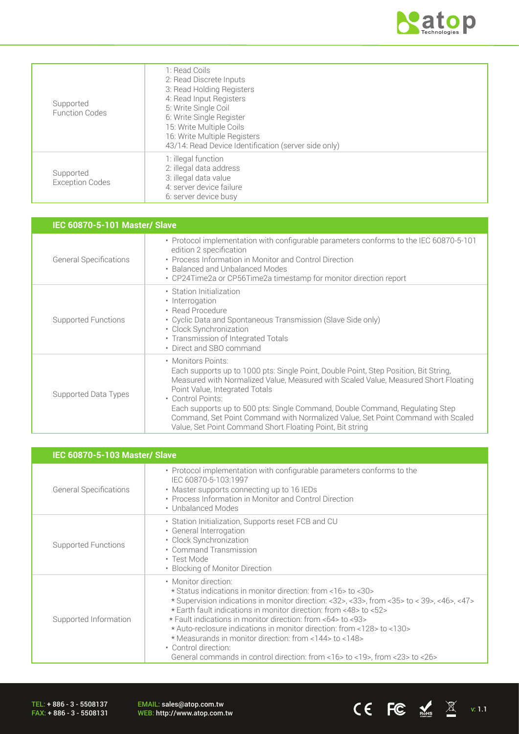

| Supported<br><b>Function Codes</b>  | 1: Read Coils<br>2: Read Discrete Inputs<br>3: Read Holding Registers<br>4: Read Input Registers<br>5: Write Single Coil<br>6: Write Single Register<br>15: Write Multiple Coils<br>16: Write Multiple Registers<br>43/14: Read Device Identification (server side only) |
|-------------------------------------|--------------------------------------------------------------------------------------------------------------------------------------------------------------------------------------------------------------------------------------------------------------------------|
| Supported<br><b>Exception Codes</b> | 1: illegal function<br>2: illegal data address<br>3: illegal data value<br>4: server device failure<br>6: server device busy                                                                                                                                             |

| <b>IEC 60870-5-101 Master/ Slave</b> |                                                                                                                                                                                                                                                                                                                                                                                                                                                                                          |  |  |  |
|--------------------------------------|------------------------------------------------------------------------------------------------------------------------------------------------------------------------------------------------------------------------------------------------------------------------------------------------------------------------------------------------------------------------------------------------------------------------------------------------------------------------------------------|--|--|--|
| <b>General Specifications</b>        | • Protocol implementation with configurable parameters conforms to the IEC 60870-5-101<br>edition 2 specification<br>• Process Information in Monitor and Control Direction<br>• Balanced and Unbalanced Modes<br>• CP24Time2a or CP56Time2a timestamp for monitor direction report                                                                                                                                                                                                      |  |  |  |
| Supported Functions                  | • Station Initialization<br>• Interrogation<br>• Read Procedure<br>• Cyclic Data and Spontaneous Transmission (Slave Side only)<br>• Clock Synchronization<br>• Transmission of Integrated Totals<br>• Direct and SBO command                                                                                                                                                                                                                                                            |  |  |  |
| Supported Data Types                 | • Monitors Points:<br>Each supports up to 1000 pts: Single Point, Double Point, Step Position, Bit String,<br>Measured with Normalized Value, Measured with Scaled Value, Measured Short Floating<br>Point Value, Integrated Totals<br>• Control Points:<br>Each supports up to 500 pts: Single Command, Double Command, Requlating Step<br>Command, Set Point Command with Normalized Value, Set Point Command with Scaled<br>Value, Set Point Command Short Floating Point, Bit string |  |  |  |

| <b>IEC 60870-5-103 Master/ Slave</b> |                                                                                                                                                                                                                                                                                                                                                                                                                                                                                                                                                                  |  |  |  |
|--------------------------------------|------------------------------------------------------------------------------------------------------------------------------------------------------------------------------------------------------------------------------------------------------------------------------------------------------------------------------------------------------------------------------------------------------------------------------------------------------------------------------------------------------------------------------------------------------------------|--|--|--|
| <b>General Specifications</b>        | • Protocol implementation with configurable parameters conforms to the<br>IEC 60870-5-103:1997<br>• Master supports connecting up to 16 IEDs<br>• Process Information in Monitor and Control Direction<br>• Unbalanced Modes                                                                                                                                                                                                                                                                                                                                     |  |  |  |
| <b>Supported Functions</b>           | • Station Initialization, Supports reset FCB and CU<br>• General Interrogation<br>• Clock Synchronization<br>• Command Transmission<br>• Test Mode<br>• Blocking of Monitor Direction                                                                                                                                                                                                                                                                                                                                                                            |  |  |  |
| Supported Information                | • Monitor direction:<br>* Status indications in monitor direction: from <16>to <30><br>* Supervision indications in monitor direction: <32>, <33>, from <35> to < 39>, <46>, <47><br>* Earth fault indications in monitor direction: from <48> to <52><br>* Fault indications in monitor direction: from <64> to <93><br>* Auto-reclosure indications in monitor direction: from <128> to <130><br>* Measurands in monitor direction: from <144> to <148><br>• Control direction:<br>General commands in control direction: from <16> to <19>, from <23> to <26> |  |  |  |

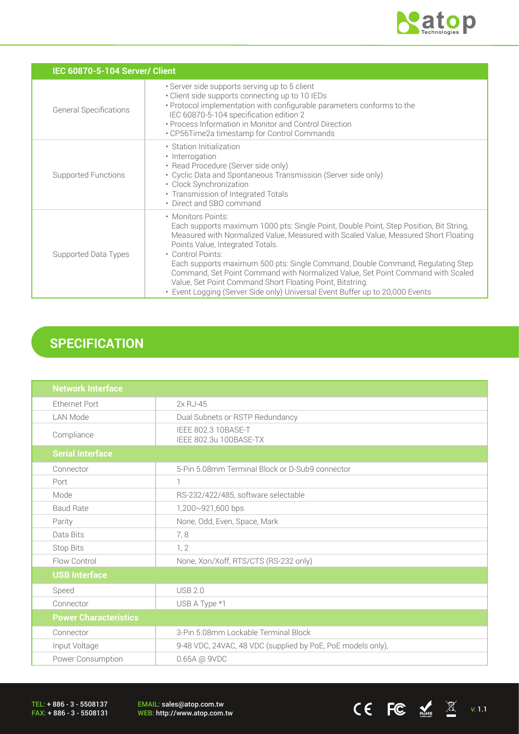

CE FC  $\underset{\text{meas}}{\blacktriangle}$   $\mathbb{X}$  v: 1.1

|                               | IEC 60870-5-104 Server/ Client                                                                                                                                                                                                                                                                                                                                                                                                                                                                                                                                                  |  |  |  |  |
|-------------------------------|---------------------------------------------------------------------------------------------------------------------------------------------------------------------------------------------------------------------------------------------------------------------------------------------------------------------------------------------------------------------------------------------------------------------------------------------------------------------------------------------------------------------------------------------------------------------------------|--|--|--|--|
| <b>General Specifications</b> | · Server side supports serving up to 5 client<br>• Client side supports connecting up to 10 IEDs<br>• Protocol implementation with configurable parameters conforms to the<br>IEC 60870-5-104 specification edition 2<br>• Process Information in Monitor and Control Direction<br>• CP56Time2a timestamp for Control Commands                                                                                                                                                                                                                                                  |  |  |  |  |
| Supported Functions           | • Station Initialization<br>• Interrogation<br>• Read Procedure (Server side only)<br>• Cyclic Data and Spontaneous Transmission (Server side only)<br>• Clock Synchronization<br>• Transmission of Integrated Totals<br>• Direct and SBO command                                                                                                                                                                                                                                                                                                                               |  |  |  |  |
| Supported Data Types          | • Monitors Points:<br>Each supports maximum 1000 pts: Single Point, Double Point, Step Position, Bit String,<br>Measured with Normalized Value, Measured with Scaled Value, Measured Short Floating<br>Points Value, Integrated Totals.<br>• Control Points:<br>Each supports maximum 500 pts: Single Command, Double Command, Regulating Step<br>Command, Set Point Command with Normalized Value, Set Point Command with Scaled<br>Value, Set Point Command Short Floating Point, Bitstring.<br>• Event Logging (Server Side only) Universal Event Buffer up to 20,000 Events |  |  |  |  |

# **SPECIFICATION**

| <b>Network Interface</b>                              |                                                             |  |  |
|-------------------------------------------------------|-------------------------------------------------------------|--|--|
| <b>Ethernet Port</b>                                  | $2xRJ-45$                                                   |  |  |
| <b>LAN Mode</b>                                       | Dual Subnets or RSTP Redundancy                             |  |  |
| Compliance                                            | IEEE 802.3 10BASE-T<br>IEEE 802.3u 100BASE-TX               |  |  |
| <b>Serial Interface</b>                               |                                                             |  |  |
| Connector                                             | 5-Pin 5.08mm Terminal Block or D-Sub9 connector             |  |  |
| Port                                                  | 1                                                           |  |  |
| Mode                                                  | RS-232/422/485, software selectable                         |  |  |
| <b>Baud Rate</b>                                      | 1,200~921,600 bps                                           |  |  |
| Parity                                                | None, Odd, Even, Space, Mark                                |  |  |
| Data Bits                                             | 7,8                                                         |  |  |
| Stop Bits                                             | 1, 2                                                        |  |  |
| None, Xon/Xoff, RTS/CTS (RS-232 only)<br>Flow Control |                                                             |  |  |
| <b>USB Interface</b>                                  |                                                             |  |  |
| Speed                                                 | <b>USB 2.0</b>                                              |  |  |
| Connector                                             | USB A Type *1                                               |  |  |
| <b>Power Characteristics</b>                          |                                                             |  |  |
| Connector                                             | 3-Pin 5.08mm Lockable Terminal Block                        |  |  |
| Input Voltage                                         | 9-48 VDC, 24VAC, 48 VDC (supplied by PoE, PoE models only), |  |  |
| Power Consumption                                     | 0.65A @ 9VDC                                                |  |  |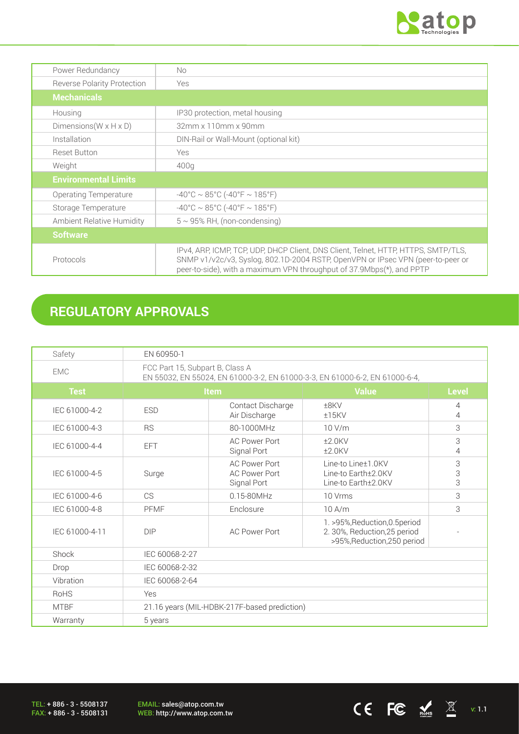

 $CE$  FC  $\frac{1}{\text{N}_{\text{obs}}}$   $\frac{1}{\text{N}_{\text{C}}}$  v: 1.1

| Power Redundancy                     | No.                                                                                                                                                                                                                                            |
|--------------------------------------|------------------------------------------------------------------------------------------------------------------------------------------------------------------------------------------------------------------------------------------------|
| <b>Reverse Polarity Protection</b>   | Yes                                                                                                                                                                                                                                            |
| <b>Mechanicals</b>                   |                                                                                                                                                                                                                                                |
| Housing                              | IP30 protection, metal housing                                                                                                                                                                                                                 |
| Dimensions ( $W \times H \times D$ ) | 32mm x 110mm x 90mm                                                                                                                                                                                                                            |
| Installation                         | DIN-Rail or Wall-Mount (optional kit)                                                                                                                                                                                                          |
| <b>Reset Button</b>                  | <b>Yes</b>                                                                                                                                                                                                                                     |
| Weight                               | 400g                                                                                                                                                                                                                                           |
| <b>Environmental Limits</b>          |                                                                                                                                                                                                                                                |
| Operating Temperature                | $-40^{\circ}$ C ~ 85°C (-40°F ~ 185°F)                                                                                                                                                                                                         |
| Storage Temperature                  | $-40^{\circ}$ C ~ 85°C (-40°F ~ 185°F)                                                                                                                                                                                                         |
| <b>Ambient Relative Humidity</b>     | $5 \sim 95\%$ RH, (non-condensing)                                                                                                                                                                                                             |
| <b>Software</b>                      |                                                                                                                                                                                                                                                |
| Protocols                            | IPv4, ARP, ICMP, TCP, UDP, DHCP Client, DNS Client, Telnet, HTTP, HTTPS, SMTP/TLS,<br>SNMP v1/v2c/v3, Syslog, 802.1D-2004 RSTP, OpenVPN or IPsec VPN (peer-to-peer or<br>peer-to-side), with a maximum VPN throughput of 37.9Mbps(*), and PPTP |

# **REGULATORY APPROVALS**

| Safety         | EN 60950-1                                                                                                     |                                                             |                                                                                               |                     |
|----------------|----------------------------------------------------------------------------------------------------------------|-------------------------------------------------------------|-----------------------------------------------------------------------------------------------|---------------------|
| <b>EMC</b>     | FCC Part 15, Subpart B, Class A<br>EN 55032, EN 55024, EN 61000-3-2, EN 61000-3-3, EN 61000-6-2, EN 61000-6-4, |                                                             |                                                                                               |                     |
| <b>Test</b>    | <b>Item</b>                                                                                                    |                                                             | <b>Value</b>                                                                                  | <b>Level</b>        |
| IEC 61000-4-2  | <b>ESD</b>                                                                                                     | Contact Discharge<br>Air Discharge                          | ±8KV<br>$±15$ KV                                                                              | $\overline{4}$<br>4 |
| IEC 61000-4-3  | <b>RS</b>                                                                                                      | 80-1000MHz                                                  | 10 V/m                                                                                        | 3                   |
| IEC 61000-4-4  | <b>EFT</b>                                                                                                     | <b>AC Power Port</b><br>Signal Port                         | $±2.0$ KV<br>$±2.0$ KV                                                                        | 3<br>4              |
| IEC 61000-4-5  | Surge                                                                                                          | <b>AC Power Port</b><br><b>AC Power Port</b><br>Signal Port | Line-to Line±1.0KV<br>Line-to Earth±2.0KV<br>Line-to Earth±2.0KV                              | 3<br>3<br>3         |
| IEC 61000-4-6  | <b>CS</b>                                                                                                      | $0.15 - 80$ MHz                                             | 10 Vrms                                                                                       | 3                   |
| IEC 61000-4-8  | PFMF                                                                                                           | Enclosure                                                   | 10A/m                                                                                         | 3                   |
| IEC 61000-4-11 | DIP                                                                                                            | <b>AC Power Port</b>                                        | 1. >95%, Reduction, 0.5 period<br>2. 30%, Reduction, 25 period<br>>95%, Reduction, 250 period |                     |
| Shock          | IEC 60068-2-27                                                                                                 |                                                             |                                                                                               |                     |
| Drop           | IEC 60068-2-32                                                                                                 |                                                             |                                                                                               |                     |
| Vibration      | IEC 60068-2-64                                                                                                 |                                                             |                                                                                               |                     |
| <b>RoHS</b>    | Yes                                                                                                            |                                                             |                                                                                               |                     |
| <b>MTBF</b>    | 21.16 years (MIL-HDBK-217F-based prediction)                                                                   |                                                             |                                                                                               |                     |
| Warranty       | 5 years                                                                                                        |                                                             |                                                                                               |                     |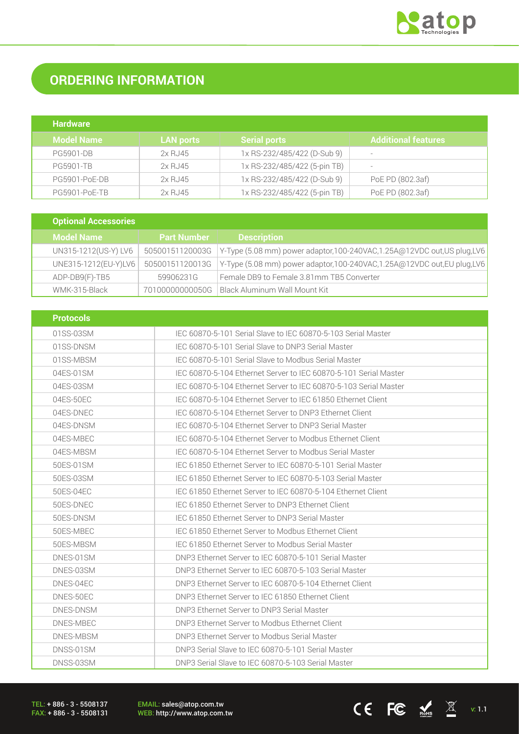

# **ORDERING INFORMATION**

| <b>Hardware</b>   |                  |                              |                       |
|-------------------|------------------|------------------------------|-----------------------|
| <b>Model Name</b> | <b>LAN ports</b> | <b>Serial ports</b>          | Additional features . |
| <b>PG5901-DB</b>  | 2x RJ45          | 1x RS-232/485/422 (D-Sub 9)  |                       |
| <b>PG5901-TB</b>  | 2x RJ45          | 1x RS-232/485/422 (5-pin TB) |                       |
| PG5901-PoE-DB     | 2x RJ45          | 1x RS-232/485/422 (D-Sub 9)  | PoE PD (802.3af)      |
| PG5901-PoE-TB     | 2x RJ45          | 1x RS-232/485/422 (5-pin TB) | PoE PD (802.3af)      |

| <b>Optional Accessories</b> |                    |                                                                           |
|-----------------------------|--------------------|---------------------------------------------------------------------------|
| <b>Model Name</b>           | <b>Part Number</b> | <b>Description</b>                                                        |
| UN315-1212(US-Y) LV6        | 50500151120003G    | Y-Type (5.08 mm) power adaptor, 100-240VAC, 1.25A@12VDC out, US plug, LV6 |
| UNE315-1212(EU-Y)LV6        | 50500151120013G    | Y-Type (5.08 mm) power adaptor, 100-240VAC, 1.25A@12VDC out, EU plug, LV6 |
| ADP-DB9(F)-TB5              | 59906231G          | Female DB9 to Female 3.81mm TB5 Converter                                 |
| WMK-315-Black               | 70100000000050G    | Black Aluminum Wall Mount Kit                                             |

| <b>Protocols</b> |                                                                  |
|------------------|------------------------------------------------------------------|
| 01SS-03SM        | IEC 60870-5-101 Serial Slave to IEC 60870-5-103 Serial Master    |
| 01SS-DNSM        | IEC 60870-5-101 Serial Slave to DNP3 Serial Master               |
| 01SS-MBSM        | IEC 60870-5-101 Serial Slave to Modbus Serial Master             |
| 04ES-01SM        | IEC 60870-5-104 Ethernet Server to IEC 60870-5-101 Serial Master |
| 04ES-03SM        | IEC 60870-5-104 Ethernet Server to IEC 60870-5-103 Serial Master |
| 04ES-50EC        | IEC 60870-5-104 Ethernet Server to IEC 61850 Ethernet Client     |
| 04ES-DNEC        | IEC 60870-5-104 Ethernet Server to DNP3 Ethernet Client          |
| 04ES-DNSM        | IEC 60870-5-104 Ethernet Server to DNP3 Serial Master            |
| 04ES-MBEC        | IEC 60870-5-104 Ethernet Server to Modbus Ethernet Client        |
| 04ES-MBSM        | IEC 60870-5-104 Ethernet Server to Modbus Serial Master          |
| 50ES-01SM        | IEC 61850 Ethernet Server to IEC 60870-5-101 Serial Master       |
| 50ES-03SM        | IEC 61850 Ethernet Server to IEC 60870-5-103 Serial Master       |
| 50ES-04EC        | IEC 61850 Ethernet Server to IEC 60870-5-104 Ethernet Client     |
| 50ES-DNEC        | IEC 61850 Ethernet Server to DNP3 Ethernet Client                |
| 50ES-DNSM        | IFC 61850 Ethernet Server to DNP3 Serial Master                  |
| 50ES-MBEC        | IEC 61850 Ethernet Server to Modbus Ethernet Client              |
| 50ES-MBSM        | IEC 61850 Ethernet Server to Modbus Serial Master                |
| DNES-01SM        | DNP3 Ethernet Server to IEC 60870-5-101 Serial Master            |
| DNES-03SM        | DNP3 Ethernet Server to IEC 60870-5-103 Serial Master            |
| DNES-04EC        | DNP3 Ethernet Server to IEC 60870-5-104 Ethernet Client          |
| DNES-50EC        | DNP3 Ethernet Server to IEC 61850 Ethernet Client                |
| DNES-DNSM        | DNP3 Ethernet Server to DNP3 Serial Master                       |
| DNES-MBEC        | DNP3 Ethernet Server to Modbus Ethernet Client                   |
| DNES-MBSM        | DNP3 Ethernet Server to Modbus Serial Master                     |
| DNSS-01SM        | DNP3 Serial Slave to IEC 60870-5-101 Serial Master               |
| DNSS-03SM        | DNP3 Serial Slave to IEC 60870-5-103 Serial Master               |

TEL: + 886 - 3 - 5508137 FAX: + 886 - 3 - 5508131 EMAIL: sales@atop.com.tw<br>WEB: http://www.atop.com.tw